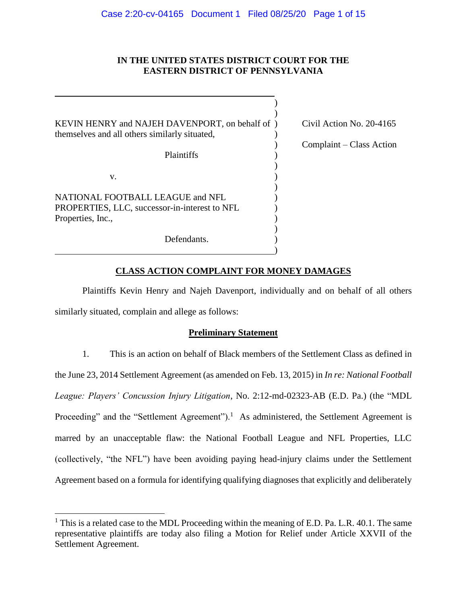# **IN THE UNITED STATES DISTRICT COURT FOR THE EASTERN DISTRICT OF PENNSYLVANIA**

| KEVIN HENRY and NAJEH DAVENPORT, on behalf of )<br>themselves and all others similarly situated,       | Civil Action No. 20-4165 |
|--------------------------------------------------------------------------------------------------------|--------------------------|
|                                                                                                        | Complaint – Class Action |
| Plaintiffs                                                                                             |                          |
| v.                                                                                                     |                          |
| NATIONAL FOOTBALL LEAGUE and NFL<br>PROPERTIES, LLC, successor-in-interest to NFL<br>Properties, Inc., |                          |
| Defendants.                                                                                            |                          |

# **CLASS ACTION COMPLAINT FOR MONEY DAMAGES**

Plaintiffs Kevin Henry and Najeh Davenport, individually and on behalf of all others similarly situated, complain and allege as follows:

# **Preliminary Statement**

1. This is an action on behalf of Black members of the Settlement Class as defined in the June 23, 2014 Settlement Agreement (as amended on Feb. 13, 2015) in *In re: National Football League: Players' Concussion Injury Litigation*, No. 2:12-md-02323-AB (E.D. Pa.) (the "MDL Proceeding" and the "Settlement Agreement").<sup>1</sup> As administered, the Settlement Agreement is marred by an unacceptable flaw: the National Football League and NFL Properties, LLC (collectively, "the NFL") have been avoiding paying head-injury claims under the Settlement Agreement based on a formula for identifying qualifying diagnoses that explicitly and deliberately

 $\overline{a}$ 

<sup>&</sup>lt;sup>1</sup> This is a related case to the MDL Proceeding within the meaning of E.D. Pa. L.R. 40.1. The same representative plaintiffs are today also filing a Motion for Relief under Article XXVII of the Settlement Agreement.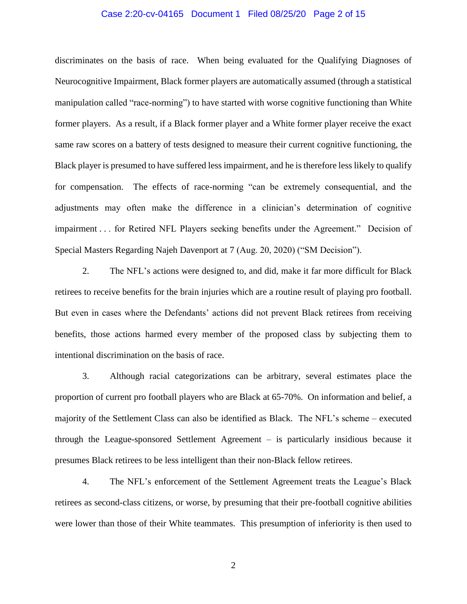### Case 2:20-cv-04165 Document 1 Filed 08/25/20 Page 2 of 15

discriminates on the basis of race. When being evaluated for the Qualifying Diagnoses of Neurocognitive Impairment, Black former players are automatically assumed (through a statistical manipulation called "race-norming") to have started with worse cognitive functioning than White former players. As a result, if a Black former player and a White former player receive the exact same raw scores on a battery of tests designed to measure their current cognitive functioning, the Black player is presumed to have suffered less impairment, and he is therefore less likely to qualify for compensation. The effects of race-norming "can be extremely consequential, and the adjustments may often make the difference in a clinician's determination of cognitive impairment . . . for Retired NFL Players seeking benefits under the Agreement." Decision of Special Masters Regarding Najeh Davenport at 7 (Aug. 20, 2020) ("SM Decision").

2. The NFL's actions were designed to, and did, make it far more difficult for Black retirees to receive benefits for the brain injuries which are a routine result of playing pro football. But even in cases where the Defendants' actions did not prevent Black retirees from receiving benefits, those actions harmed every member of the proposed class by subjecting them to intentional discrimination on the basis of race.

3. Although racial categorizations can be arbitrary, several estimates place the proportion of current pro football players who are Black at 65-70%. On information and belief, a majority of the Settlement Class can also be identified as Black. The NFL's scheme – executed through the League-sponsored Settlement Agreement – is particularly insidious because it presumes Black retirees to be less intelligent than their non-Black fellow retirees.

4. The NFL's enforcement of the Settlement Agreement treats the League's Black retirees as second-class citizens, or worse, by presuming that their pre-football cognitive abilities were lower than those of their White teammates. This presumption of inferiority is then used to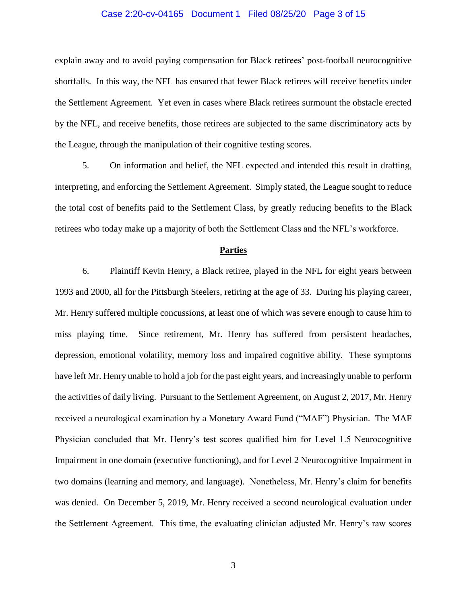### Case 2:20-cv-04165 Document 1 Filed 08/25/20 Page 3 of 15

explain away and to avoid paying compensation for Black retirees' post-football neurocognitive shortfalls. In this way, the NFL has ensured that fewer Black retirees will receive benefits under the Settlement Agreement. Yet even in cases where Black retirees surmount the obstacle erected by the NFL, and receive benefits, those retirees are subjected to the same discriminatory acts by the League, through the manipulation of their cognitive testing scores.

5. On information and belief, the NFL expected and intended this result in drafting, interpreting, and enforcing the Settlement Agreement. Simply stated, the League sought to reduce the total cost of benefits paid to the Settlement Class, by greatly reducing benefits to the Black retirees who today make up a majority of both the Settlement Class and the NFL's workforce.

#### **Parties**

6. Plaintiff Kevin Henry, a Black retiree, played in the NFL for eight years between 1993 and 2000, all for the Pittsburgh Steelers, retiring at the age of 33. During his playing career, Mr. Henry suffered multiple concussions, at least one of which was severe enough to cause him to miss playing time. Since retirement, Mr. Henry has suffered from persistent headaches, depression, emotional volatility, memory loss and impaired cognitive ability. These symptoms have left Mr. Henry unable to hold a job for the past eight years, and increasingly unable to perform the activities of daily living. Pursuant to the Settlement Agreement, on August 2, 2017, Mr. Henry received a neurological examination by a Monetary Award Fund ("MAF") Physician. The MAF Physician concluded that Mr. Henry's test scores qualified him for Level 1.5 Neurocognitive Impairment in one domain (executive functioning), and for Level 2 Neurocognitive Impairment in two domains (learning and memory, and language). Nonetheless, Mr. Henry's claim for benefits was denied. On December 5, 2019, Mr. Henry received a second neurological evaluation under the Settlement Agreement. This time, the evaluating clinician adjusted Mr. Henry's raw scores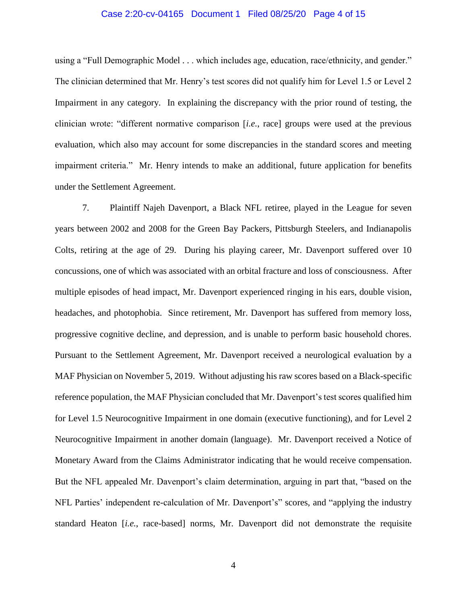### Case 2:20-cv-04165 Document 1 Filed 08/25/20 Page 4 of 15

using a "Full Demographic Model . . . which includes age, education, race/ethnicity, and gender." The clinician determined that Mr. Henry's test scores did not qualify him for Level 1.5 or Level 2 Impairment in any category. In explaining the discrepancy with the prior round of testing, the clinician wrote: "different normative comparison [*i.e.*, race] groups were used at the previous evaluation, which also may account for some discrepancies in the standard scores and meeting impairment criteria." Mr. Henry intends to make an additional, future application for benefits under the Settlement Agreement.

7. Plaintiff Najeh Davenport, a Black NFL retiree, played in the League for seven years between 2002 and 2008 for the Green Bay Packers, Pittsburgh Steelers, and Indianapolis Colts, retiring at the age of 29. During his playing career, Mr. Davenport suffered over 10 concussions, one of which was associated with an orbital fracture and loss of consciousness. After multiple episodes of head impact, Mr. Davenport experienced ringing in his ears, double vision, headaches, and photophobia. Since retirement, Mr. Davenport has suffered from memory loss, progressive cognitive decline, and depression, and is unable to perform basic household chores. Pursuant to the Settlement Agreement, Mr. Davenport received a neurological evaluation by a MAF Physician on November 5, 2019. Without adjusting his raw scores based on a Black-specific reference population, the MAF Physician concluded that Mr. Davenport's test scores qualified him for Level 1.5 Neurocognitive Impairment in one domain (executive functioning), and for Level 2 Neurocognitive Impairment in another domain (language). Mr. Davenport received a Notice of Monetary Award from the Claims Administrator indicating that he would receive compensation. But the NFL appealed Mr. Davenport's claim determination, arguing in part that, "based on the NFL Parties' independent re-calculation of Mr. Davenport's" scores, and "applying the industry standard Heaton [*i.e.*, race-based] norms, Mr. Davenport did not demonstrate the requisite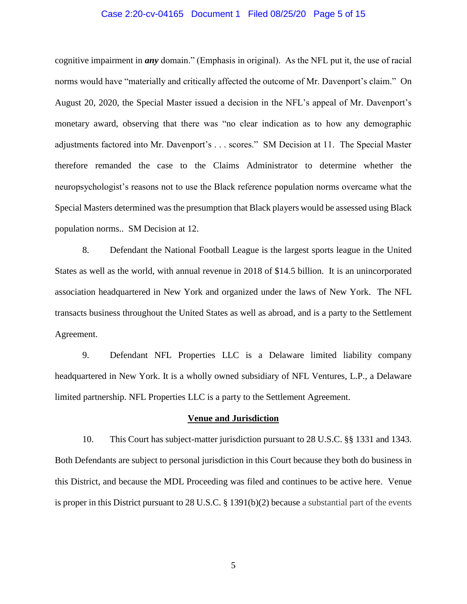### Case 2:20-cv-04165 Document 1 Filed 08/25/20 Page 5 of 15

cognitive impairment in *any* domain." (Emphasis in original). As the NFL put it, the use of racial norms would have "materially and critically affected the outcome of Mr. Davenport's claim." On August 20, 2020, the Special Master issued a decision in the NFL's appeal of Mr. Davenport's monetary award, observing that there was "no clear indication as to how any demographic adjustments factored into Mr. Davenport's . . . scores." SM Decision at 11. The Special Master therefore remanded the case to the Claims Administrator to determine whether the neuropsychologist's reasons not to use the Black reference population norms overcame what the Special Masters determined was the presumption that Black players would be assessed using Black population norms.. SM Decision at 12.

8. Defendant the National Football League is the largest sports league in the United States as well as the world, with annual revenue in 2018 of \$14.5 billion. It is an unincorporated association headquartered in New York and organized under the laws of New York. The NFL transacts business throughout the United States as well as abroad, and is a party to the Settlement Agreement.

9. Defendant NFL Properties LLC is a Delaware limited liability company headquartered in New York. It is a wholly owned subsidiary of NFL Ventures, L.P., a Delaware limited partnership. NFL Properties LLC is a party to the Settlement Agreement.

#### **Venue and Jurisdiction**

10. This Court has subject-matter jurisdiction pursuant to 28 U.S.C. §§ 1331 and 1343. Both Defendants are subject to personal jurisdiction in this Court because they both do business in this District, and because the MDL Proceeding was filed and continues to be active here. Venue is proper in this District pursuant to 28 U.S.C. § 1391(b)(2) because a substantial part of the events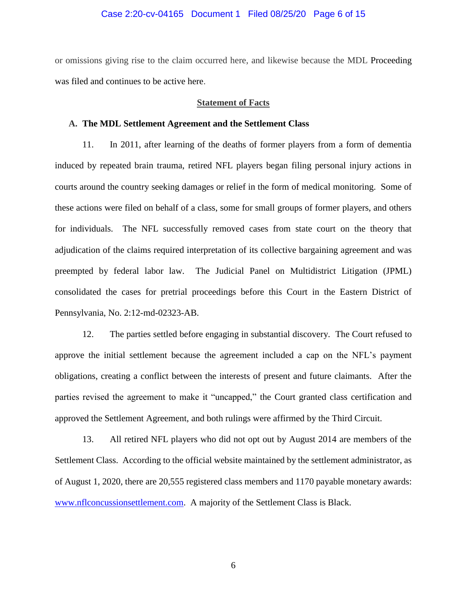### Case 2:20-cv-04165 Document 1 Filed 08/25/20 Page 6 of 15

or omissions giving rise to the claim occurred here, and likewise because the MDL Proceeding was filed and continues to be active here.

#### **Statement of Facts**

## **A. The MDL Settlement Agreement and the Settlement Class**

11. In 2011, after learning of the deaths of former players from a form of dementia induced by repeated brain trauma, retired NFL players began filing personal injury actions in courts around the country seeking damages or relief in the form of medical monitoring. Some of these actions were filed on behalf of a class, some for small groups of former players, and others for individuals. The NFL successfully removed cases from state court on the theory that adjudication of the claims required interpretation of its collective bargaining agreement and was preempted by federal labor law. The Judicial Panel on Multidistrict Litigation (JPML) consolidated the cases for pretrial proceedings before this Court in the Eastern District of Pennsylvania, No. 2:12-md-02323-AB.

12. The parties settled before engaging in substantial discovery. The Court refused to approve the initial settlement because the agreement included a cap on the NFL's payment obligations, creating a conflict between the interests of present and future claimants. After the parties revised the agreement to make it "uncapped," the Court granted class certification and approved the Settlement Agreement, and both rulings were affirmed by the Third Circuit.

13. All retired NFL players who did not opt out by August 2014 are members of the Settlement Class. According to the official website maintained by the settlement administrator, as of August 1, 2020, there are 20,555 registered class members and 1170 payable monetary awards: [www.nflconcussionsettlement.com.](http://www.nflconcussionsettlement.com/) A majority of the Settlement Class is Black.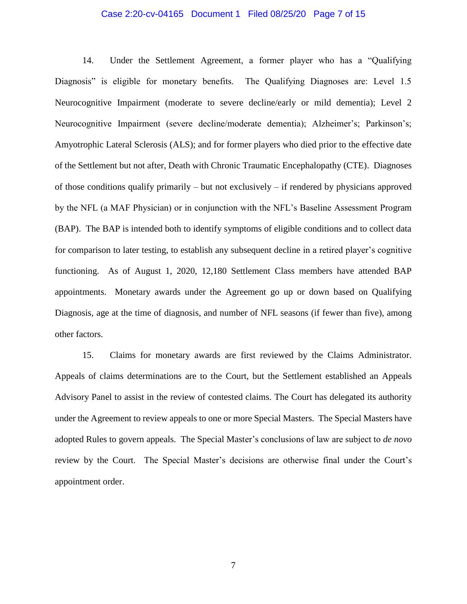### Case 2:20-cv-04165 Document 1 Filed 08/25/20 Page 7 of 15

14. Under the Settlement Agreement, a former player who has a "Qualifying Diagnosis" is eligible for monetary benefits. The Qualifying Diagnoses are: Level 1.5 Neurocognitive Impairment (moderate to severe decline/early or mild dementia); Level 2 Neurocognitive Impairment (severe decline/moderate dementia); Alzheimer's; Parkinson's; Amyotrophic Lateral Sclerosis (ALS); and for former players who died prior to the effective date of the Settlement but not after, Death with Chronic Traumatic Encephalopathy (CTE). Diagnoses of those conditions qualify primarily – but not exclusively – if rendered by physicians approved by the NFL (a MAF Physician) or in conjunction with the NFL's Baseline Assessment Program (BAP). The BAP is intended both to identify symptoms of eligible conditions and to collect data for comparison to later testing, to establish any subsequent decline in a retired player's cognitive functioning. As of August 1, 2020, 12,180 Settlement Class members have attended BAP appointments. Monetary awards under the Agreement go up or down based on Qualifying Diagnosis, age at the time of diagnosis, and number of NFL seasons (if fewer than five), among other factors.

15. Claims for monetary awards are first reviewed by the Claims Administrator. Appeals of claims determinations are to the Court, but the Settlement established an Appeals Advisory Panel to assist in the review of contested claims. The Court has delegated its authority under the Agreement to review appeals to one or more Special Masters. The Special Masters have adopted Rules to govern appeals. The Special Master's conclusions of law are subject to *de novo* review by the Court. The Special Master's decisions are otherwise final under the Court's appointment order.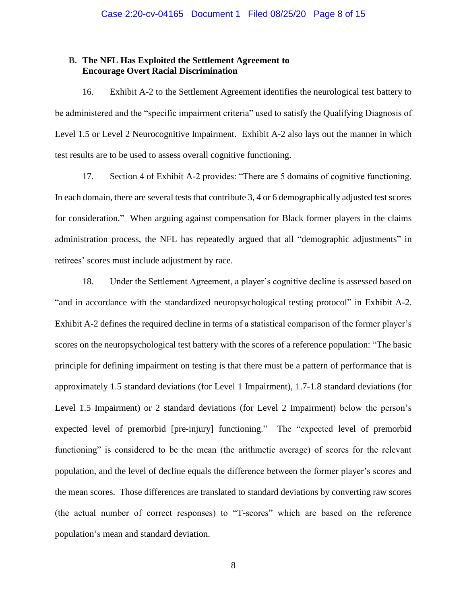# **B. The NFL Has Exploited the Settlement Agreement to Encourage Overt Racial Discrimination**

16. Exhibit A-2 to the Settlement Agreement identifies the neurological test battery to be administered and the "specific impairment criteria" used to satisfy the Qualifying Diagnosis of Level 1.5 or Level 2 Neurocognitive Impairment. Exhibit A-2 also lays out the manner in which test results are to be used to assess overall cognitive functioning.

17. Section 4 of Exhibit A-2 provides: "There are 5 domains of cognitive functioning. In each domain, there are several tests that contribute 3, 4 or 6 demographically adjusted test scores for consideration." When arguing against compensation for Black former players in the claims administration process, the NFL has repeatedly argued that all "demographic adjustments" in retirees' scores must include adjustment by race.

18. Under the Settlement Agreement, a player's cognitive decline is assessed based on "and in accordance with the standardized neuropsychological testing protocol" in Exhibit A-2. Exhibit A-2 defines the required decline in terms of a statistical comparison of the former player's scores on the neuropsychological test battery with the scores of a reference population: "The basic principle for defining impairment on testing is that there must be a pattern of performance that is approximately 1.5 standard deviations (for Level 1 Impairment), 1.7-1.8 standard deviations (for Level 1.5 Impairment) or 2 standard deviations (for Level 2 Impairment) below the person's expected level of premorbid [pre-injury] functioning." The "expected level of premorbid functioning" is considered to be the mean (the arithmetic average) of scores for the relevant population, and the level of decline equals the difference between the former player's scores and the mean scores. Those differences are translated to standard deviations by converting raw scores (the actual number of correct responses) to "T-scores" which are based on the reference population's mean and standard deviation.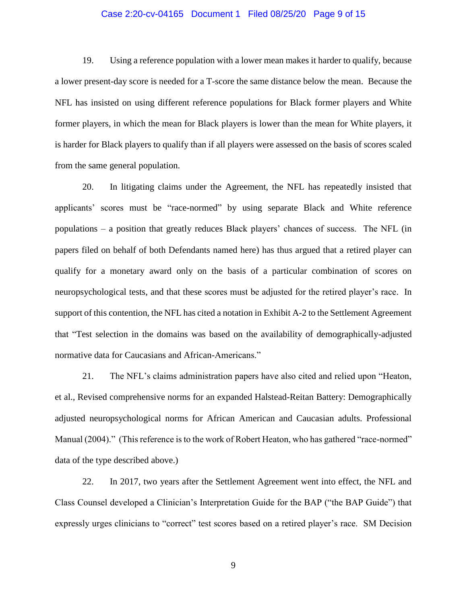### Case 2:20-cv-04165 Document 1 Filed 08/25/20 Page 9 of 15

19. Using a reference population with a lower mean makes it harder to qualify, because a lower present-day score is needed for a T-score the same distance below the mean. Because the NFL has insisted on using different reference populations for Black former players and White former players, in which the mean for Black players is lower than the mean for White players, it is harder for Black players to qualify than if all players were assessed on the basis of scores scaled from the same general population.

20. In litigating claims under the Agreement, the NFL has repeatedly insisted that applicants' scores must be "race-normed" by using separate Black and White reference populations – a position that greatly reduces Black players' chances of success. The NFL (in papers filed on behalf of both Defendants named here) has thus argued that a retired player can qualify for a monetary award only on the basis of a particular combination of scores on neuropsychological tests, and that these scores must be adjusted for the retired player's race. In support of this contention, the NFL has cited a notation in Exhibit A-2 to the Settlement Agreement that "Test selection in the domains was based on the availability of demographically-adjusted normative data for Caucasians and African-Americans."

21. The NFL's claims administration papers have also cited and relied upon "Heaton, et al., Revised comprehensive norms for an expanded Halstead-Reitan Battery: Demographically adjusted neuropsychological norms for African American and Caucasian adults. Professional Manual (2004)." (This reference is to the work of Robert Heaton, who has gathered "race-normed" data of the type described above.)

22. In 2017, two years after the Settlement Agreement went into effect, the NFL and Class Counsel developed a Clinician's Interpretation Guide for the BAP ("the BAP Guide") that expressly urges clinicians to "correct" test scores based on a retired player's race. SM Decision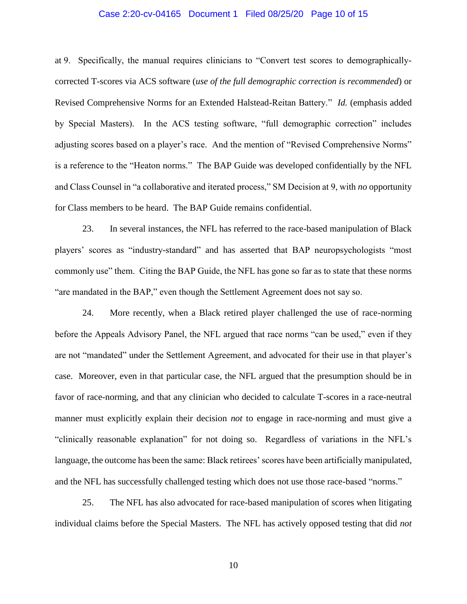### Case 2:20-cv-04165 Document 1 Filed 08/25/20 Page 10 of 15

at 9. Specifically, the manual requires clinicians to "Convert test scores to demographicallycorrected T-scores via ACS software (*use of the full demographic correction is recommended*) or Revised Comprehensive Norms for an Extended Halstead-Reitan Battery." *Id.* (emphasis added by Special Masters). In the ACS testing software, "full demographic correction" includes adjusting scores based on a player's race. And the mention of "Revised Comprehensive Norms" is a reference to the "Heaton norms." The BAP Guide was developed confidentially by the NFL and Class Counsel in "a collaborative and iterated process," SM Decision at 9, with *no* opportunity for Class members to be heard. The BAP Guide remains confidential.

23. In several instances, the NFL has referred to the race-based manipulation of Black players' scores as "industry-standard" and has asserted that BAP neuropsychologists "most commonly use" them. Citing the BAP Guide, the NFL has gone so far as to state that these norms "are mandated in the BAP," even though the Settlement Agreement does not say so.

24. More recently, when a Black retired player challenged the use of race-norming before the Appeals Advisory Panel, the NFL argued that race norms "can be used," even if they are not "mandated" under the Settlement Agreement, and advocated for their use in that player's case. Moreover, even in that particular case, the NFL argued that the presumption should be in favor of race-norming, and that any clinician who decided to calculate T-scores in a race-neutral manner must explicitly explain their decision *not* to engage in race-norming and must give a "clinically reasonable explanation" for not doing so. Regardless of variations in the NFL's language, the outcome has been the same: Black retirees' scores have been artificially manipulated, and the NFL has successfully challenged testing which does not use those race-based "norms."

25. The NFL has also advocated for race-based manipulation of scores when litigating individual claims before the Special Masters. The NFL has actively opposed testing that did *not*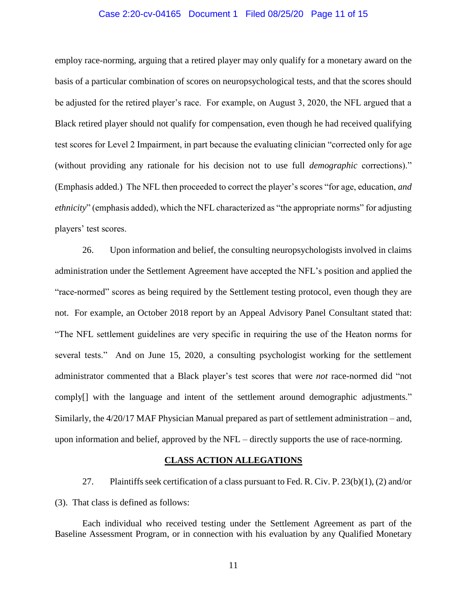### Case 2:20-cv-04165 Document 1 Filed 08/25/20 Page 11 of 15

employ race-norming, arguing that a retired player may only qualify for a monetary award on the basis of a particular combination of scores on neuropsychological tests, and that the scores should be adjusted for the retired player's race. For example, on August 3, 2020, the NFL argued that a Black retired player should not qualify for compensation, even though he had received qualifying test scores for Level 2 Impairment, in part because the evaluating clinician "corrected only for age (without providing any rationale for his decision not to use full *demographic* corrections)." (Emphasis added.) The NFL then proceeded to correct the player's scores "for age, education, *and ethnicity*" (emphasis added), which the NFL characterized as "the appropriate norms" for adjusting players' test scores.

26. Upon information and belief, the consulting neuropsychologists involved in claims administration under the Settlement Agreement have accepted the NFL's position and applied the "race-normed" scores as being required by the Settlement testing protocol, even though they are not. For example, an October 2018 report by an Appeal Advisory Panel Consultant stated that: "The NFL settlement guidelines are very specific in requiring the use of the Heaton norms for several tests." And on June 15, 2020, a consulting psychologist working for the settlement administrator commented that a Black player's test scores that were *not* race-normed did "not comply[] with the language and intent of the settlement around demographic adjustments." Similarly, the 4/20/17 MAF Physician Manual prepared as part of settlement administration – and, upon information and belief, approved by the NFL – directly supports the use of race-norming.

### **CLASS ACTION ALLEGATIONS**

27. Plaintiffs seek certification of a class pursuant to Fed. R. Civ. P.  $23(b)(1)$ , (2) and/or (3). That class is defined as follows:

Each individual who received testing under the Settlement Agreement as part of the Baseline Assessment Program, or in connection with his evaluation by any Qualified Monetary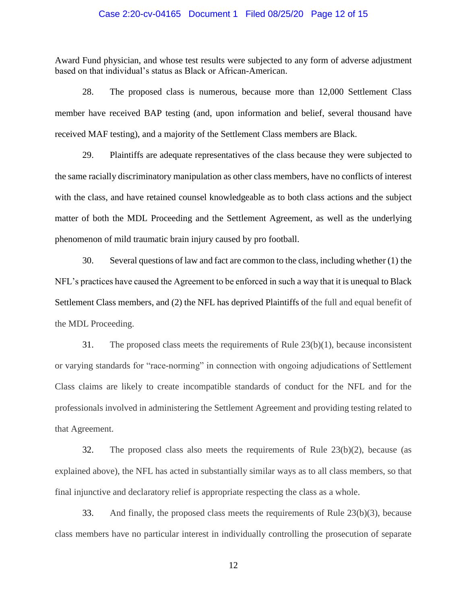### Case 2:20-cv-04165 Document 1 Filed 08/25/20 Page 12 of 15

Award Fund physician, and whose test results were subjected to any form of adverse adjustment based on that individual's status as Black or African-American.

28. The proposed class is numerous, because more than 12,000 Settlement Class member have received BAP testing (and, upon information and belief, several thousand have received MAF testing), and a majority of the Settlement Class members are Black.

29. Plaintiffs are adequate representatives of the class because they were subjected to the same racially discriminatory manipulation as other class members, have no conflicts of interest with the class, and have retained counsel knowledgeable as to both class actions and the subject matter of both the MDL Proceeding and the Settlement Agreement, as well as the underlying phenomenon of mild traumatic brain injury caused by pro football.

30. Several questions of law and fact are common to the class, including whether (1) the NFL's practices have caused the Agreement to be enforced in such a way that it is unequal to Black Settlement Class members, and (2) the NFL has deprived Plaintiffs of the full and equal benefit of the MDL Proceeding.

31. The proposed class meets the requirements of Rule 23(b)(1), because inconsistent or varying standards for "race-norming" in connection with ongoing adjudications of Settlement Class claims are likely to create incompatible standards of conduct for the NFL and for the professionals involved in administering the Settlement Agreement and providing testing related to that Agreement.

32. The proposed class also meets the requirements of Rule 23(b)(2), because (as explained above), the NFL has acted in substantially similar ways as to all class members, so that final injunctive and declaratory relief is appropriate respecting the class as a whole.

33. And finally, the proposed class meets the requirements of Rule 23(b)(3), because class members have no particular interest in individually controlling the prosecution of separate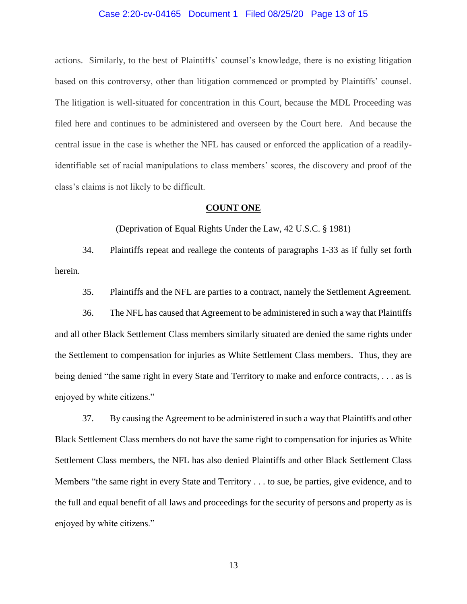### Case 2:20-cv-04165 Document 1 Filed 08/25/20 Page 13 of 15

actions. Similarly, to the best of Plaintiffs' counsel's knowledge, there is no existing litigation based on this controversy, other than litigation commenced or prompted by Plaintiffs' counsel. The litigation is well-situated for concentration in this Court, because the MDL Proceeding was filed here and continues to be administered and overseen by the Court here. And because the central issue in the case is whether the NFL has caused or enforced the application of a readilyidentifiable set of racial manipulations to class members' scores, the discovery and proof of the class's claims is not likely to be difficult.

### **COUNT ONE**

(Deprivation of Equal Rights Under the Law, 42 U.S.C. § 1981)

34. Plaintiffs repeat and reallege the contents of paragraphs 1-33 as if fully set forth herein.

35. Plaintiffs and the NFL are parties to a contract, namely the Settlement Agreement.

36. The NFL has caused that Agreement to be administered in such a way that Plaintiffs and all other Black Settlement Class members similarly situated are denied the same rights under the Settlement to compensation for injuries as White Settlement Class members. Thus, they are being denied "the same right in every State and Territory to [make and enforce contracts,](https://www.law.cornell.edu/definitions/uscode.php?width=840&height=800&iframe=true&def_id=42-USC-1564011560-1355666429&term_occur=999&term_src=title:42:chapter:21:subchapter:I:section:1981) . . . as is enjoyed by white citizens."

37. By causing the Agreement to be administered in such a way that Plaintiffs and other Black Settlement Class members do not have the same right to compensation for injuries as White Settlement Class members, the NFL has also denied Plaintiffs and other Black Settlement Class Members "the same right in every State and Territory . . . to sue, be parties, give evidence, and to the full and equal benefit of all laws and proceedings for the security of persons and property as is enjoyed by white citizens."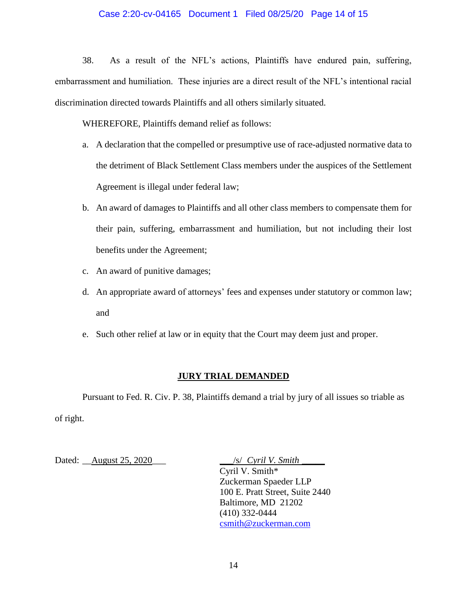## Case 2:20-cv-04165 Document 1 Filed 08/25/20 Page 14 of 15

38. As a result of the NFL's actions, Plaintiffs have endured pain, suffering, embarrassment and humiliation. These injuries are a direct result of the NFL's intentional racial discrimination directed towards Plaintiffs and all others similarly situated.

WHEREFORE, Plaintiffs demand relief as follows:

- a. A declaration that the compelled or presumptive use of race-adjusted normative data to the detriment of Black Settlement Class members under the auspices of the Settlement Agreement is illegal under federal law;
- b. An award of damages to Plaintiffs and all other class members to compensate them for their pain, suffering, embarrassment and humiliation, but not including their lost benefits under the Agreement;
- c. An award of punitive damages;
- d. An appropriate award of attorneys' fees and expenses under statutory or common law; and
- e. Such other relief at law or in equity that the Court may deem just and proper.

## **JURY TRIAL DEMANDED**

Pursuant to Fed. R. Civ. P. 38, Plaintiffs demand a trial by jury of all issues so triable as of right.

Dated: \_\_August 25, 2020\_\_\_ \_\_\_/s/ *Cyril V. Smith* \_\_\_\_\_

Cyril V. Smith\* Zuckerman Spaeder LLP 100 E. Pratt Street, Suite 2440 Baltimore, MD 21202 (410) 332-0444 [csmith@zuckerman.com](mailto:csmith@zuckerman.com)